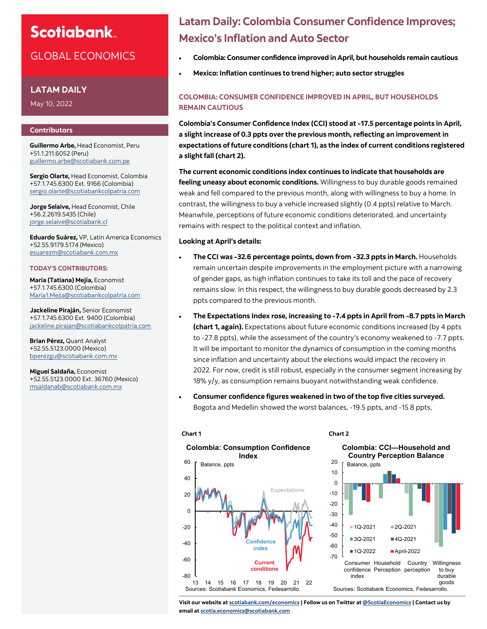# **Scotiabank**

### GLOBAL ECONOMICS

#### **LATAM DAILY**

May 10, 2022

#### **Contributors**

**Guillermo Arbe,** Head Economist, Peru +51.1.211.6052 (Peru) [guillermo.arbe@scotiabank.com.pe](mailto:guillermo.arbe@scotiabank.com.pe)

**Sergio Olarte,** Head Economist, Colombia +57.1.745.6300 Ext. 9166 (Colombia) [sergio.olarte@scotiabankcolpatria.com](mailto:sergio.olarte@scotiabankcolpatria.com)

**Jorge Selaive,** Head Economist, Chile +56.2.2619.5435 (Chile) [jorge.selaive@scotiabank.cl](mailto:jorge.selaive@scotiabank.cl)

**Eduardo Suárez,** VP, Latin America Economics +52.55.9179.5174 (Mexico) [esuarezm@scotiabank.com.mx](mailto:esuarezm@scotiabank.com.mx)

#### **TODAY'S CONTRIBUTORS:**

**Maria (Tatiana) Mejía,** Economist +57.1.745.6300 (Colombia) [Maria1.Mejia@scotiabankcolpatria.com](mailto:Maria1.Mejia@scotiabankcolpatria.com)

**Jackeline Piraján,** Senior Economist +57.1.745.6300 Ext. 9400 (Colombia) [jackeline.pirajan@scotiabankcolpatria.com](mailto:jackeline.pirajan@scotiabankcolpatria.com)

**Brian Pérez,** Quant Analyst +52.55.5123.0000 (Mexico) bperezgu@scotiabank.com.mx

**Miguel Saldaña,** Economist +52.55.5123.0000 Ext. 36760 (Mexico) [msaldanab@scotiabank.com.mx](mailto:msaldanab@scotiabank.com.mx)

## **Latam Daily: Colombia Consumer Confidence Improves; Mexico's Inflation and Auto Sector**

- **Colombia: Consumer confidence improved in April, but households remain cautious**
- **Mexico: Inflation continues to trend higher; auto sector struggles**

### **COLOMBIA: CONSUMER CONFIDENCE IMPROVED IN APRIL, BUT HOUSEHOLDS REMAIN CAUTIOUS**

**Colombia's Consumer Confidence Index (CCI) stood at -17.5 percentage points in April, a slight increase of 0.3 ppts over the previous month, reflecting an improvement in expectations of future conditions (chart 1), as the index of current conditions registered a slight fall (chart 2).**

**The current economic conditions index continues to indicate that households are feeling uneasy about economic conditions.** Willingness to buy durable goods remained weak and fell compared to the previous month, along with willingness to buy a home. In contrast, the willingness to buy a vehicle increased slightly (0.4 ppts) relative to March. Meanwhile, perceptions of future economic conditions deteriorated, and uncertainty remains with respect to the political context and inflation.

#### **Looking at April's details:**

- **The CCI was -32.6 percentage points, down from -32.3 ppts in March.** Households remain uncertain despite improvements in the employment picture with a narrowing of gender gaps, as high inflation continues to take its toll and the pace of recovery remains slow. In this respect, the willingness to buy durable goods decreased by 2.3 ppts compared to the previous month.
- **The Expectations Index rose, increasing to -7.4 ppts in April from -8.7 ppts in March (chart 1, again).** Expectations about future economic conditions increased (by 4 ppts to -27.8 ppts), while the assessment of the country's economy weakened to -7.7 ppts. It will be important to monitor the dynamics of consumption in the coming months since inflation and uncertainty about the elections would impact the recovery in 2022. For now, credit is still robust, especially in the consumer segment increasing by 18% y/y, as consumption remains buoyant notwithstanding weak confidence.
- **Consumer confidence figures weakened in two of the top five cities surveyed.**  Bogota and Medellin showed the worst balances, -19.5 ppts, and -15.8 ppts,



#### **Chart 2**

**Colombia: CCI—Household and Country Perception Balance**



**Visit our website at [scotiabank.com/economics](https://www.scotiabank.com/ca/en/about/global-economics/economics-publications.html) | Follow us on Twitter at [@ScotiaEconomics](https://twitter.com/ScotiaEconomics) | Contact us by email at scotia.economics@scotiabank.com**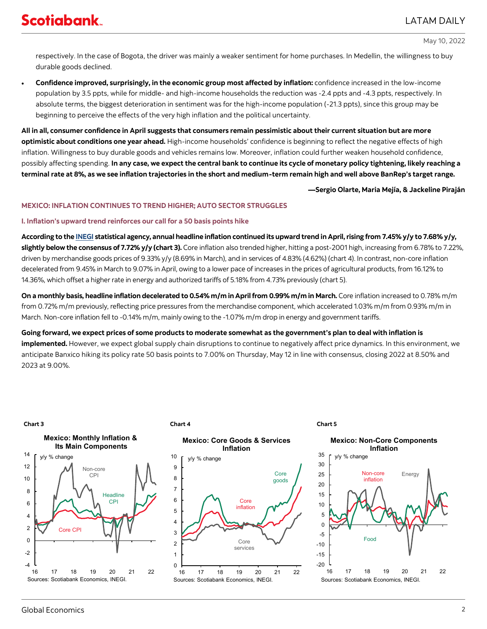#### May 10, 2022

respectively. In the case of Bogota, the driver was mainly a weaker sentiment for home purchases. In Medellin, the willingness to buy durable goods declined.

• **Confidence improved, surprisingly, in the economic group most affected by inflation:** confidence increased in the low-income population by 3.5 ppts, while for middle- and high-income households the reduction was -2.4 ppts and -4.3 ppts, respectively. In absolute terms, the biggest deterioration in sentiment was for the high-income population (-21.3 ppts), since this group may be beginning to perceive the effects of the very high inflation and the political uncertainty.

**All in all, consumer confidence in April suggests that consumers remain pessimistic about their current situation but are more optimistic about conditions one year ahead.** High-income households' confidence is beginning to reflect the negative effects of high inflation. Willingness to buy durable goods and vehicles remains low. Moreover, inflation could further weaken household confidence, possibly affecting spending. **In any case, we expect the central bank to continue its cycle of monetary policy tightening, likely reaching a terminal rate at 8%, as we see inflation trajectories in the short and medium-term remain high and well above BanRep's target range.** 

**—Sergio Olarte, Maria Mejía, & Jackeline Piraján**

#### **MEXICO: INFLATION CONTINUES TO TREND HIGHER; AUTO SECTOR STRUGGLES**

#### **I. Inflation's upward trend reinforces our call for a 50 basis points hike**

**According to the [INEGI](https://www.inegi.org.mx/app/saladeprensa/noticia.html?id=7333) statistical agency, annual headline inflation continued its upward trend in April, rising from 7.45% y/y to 7.68% y/y, slightly below the consensus of 7.72% y/y (chart 3).** Core inflation also trended higher, hitting a post-2001 high, increasing from 6.78% to 7.22%, driven by merchandise goods prices of 9.33% y/y (8.69% in March), and in services of 4.83% (4.62%) (chart 4). In contrast, non-core inflation decelerated from 9.45% in March to 9.07% in April, owing to a lower pace of increases in the prices of agricultural products, from 16.12% to 14.36%, which offset a higher rate in energy and authorized tariffs of 5.18% from 4.73% previously (chart 5).

**On a monthly basis, headline inflation decelerated to 0.54% m/m in April from 0.99% m/m in March.** Core inflation increased to 0.78% m/m from 0.72% m/m previously, reflecting price pressures from the merchandise component, which accelerated 1.03% m/m from 0.93% m/m in March. Non-core inflation fell to -0.14% m/m, mainly owing to the -1.07% m/m drop in energy and government tariffs.

**Going forward, we expect prices of some products to moderate somewhat as the government's plan to deal with inflation is implemented.** However, we expect global supply chain disruptions to continue to negatively affect price dynamics. In this environment, we anticipate Banxico hiking its policy rate 50 basis points to 7.00% on Thursday, May 12 in line with consensus, closing 2022 at 8.50% and 2023 at 9.00%.

#### **Chart 3 Chart 4**





#### **Chart 5**

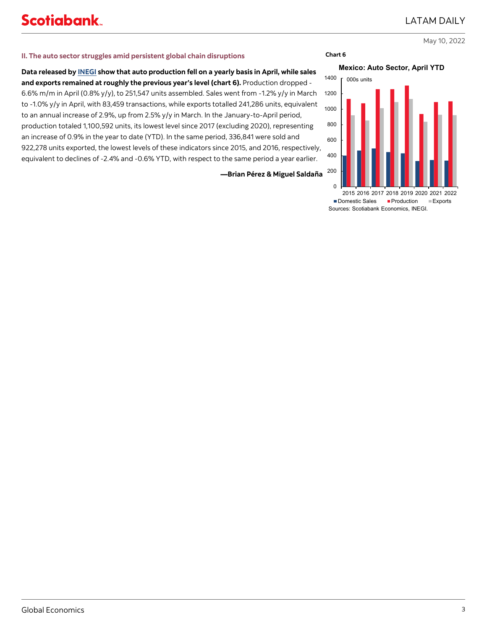May 10, 2022

#### **II. The auto sector struggles amid persistent global chain disruptions**

**Data released by [INEGI](https://www.inegi.org.mx/contenidos/saladeprensa/boletines/2022/rm_raiavl/rm_raiavl2022_05.pdf) show that auto production fell on a yearly basis in April, while sales and exports remained at roughly the previous year's level (chart 6).** Production dropped - 6.6% m/m in April (0.8% y/y), to 251,547 units assembled. Sales went from -1.2% y/y in March to -1.0% y/y in April, with 83,459 transactions, while exports totalled 241,286 units, equivalent to an annual increase of 2.9%, up from 2.5% y/y in March. In the January-to-April period, production totaled 1,100,592 units, its lowest level since 2017 (excluding 2020), representing an increase of 0.9% in the year to date (YTD). In the same period, 336,841 were sold and 922,278 units exported, the lowest levels of these indicators since 2015, and 2016, respectively, equivalent to declines of -2.4% and -0.6% YTD, with respect to the same period a year earlier.

**—Brian Pérez & Miguel Saldaña**